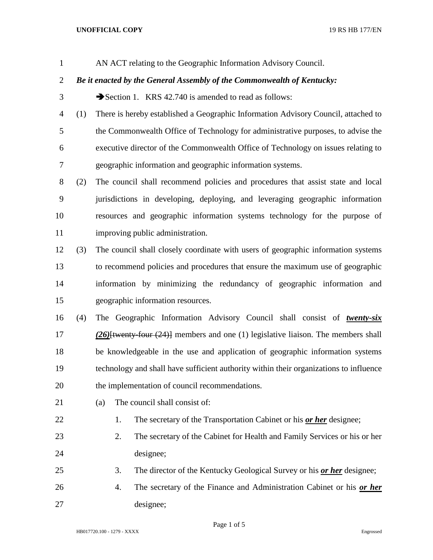## **UNOFFICIAL COPY** 19 RS HB 177/EN

AN ACT relating to the Geographic Information Advisory Council.

## *Be it enacted by the General Assembly of the Commonwealth of Kentucky:*

- 3 Section 1. KRS 42.740 is amended to read as follows:
- (1) There is hereby established a Geographic Information Advisory Council, attached to the Commonwealth Office of Technology for administrative purposes, to advise the executive director of the Commonwealth Office of Technology on issues relating to geographic information and geographic information systems.
- (2) The council shall recommend policies and procedures that assist state and local jurisdictions in developing, deploying, and leveraging geographic information resources and geographic information systems technology for the purpose of improving public administration.
- (3) The council shall closely coordinate with users of geographic information systems to recommend policies and procedures that ensure the maximum use of geographic information by minimizing the redundancy of geographic information and geographic information resources.
- (4) The Geographic Information Advisory Council shall consist of *twenty-six (26)*[twenty-four (24)] members and one (1) legislative liaison. The members shall be knowledgeable in the use and application of geographic information systems technology and shall have sufficient authority within their organizations to influence the implementation of council recommendations.
- 
- 21 (a) The council shall consist of:
- 1. The secretary of the Transportation Cabinet or his *or her* designee;
- 2. The secretary of the Cabinet for Health and Family Services or his or her designee;
- 3. The director of the Kentucky Geological Survey or his *or her* designee;
- 4. The secretary of the Finance and Administration Cabinet or his *or her* designee;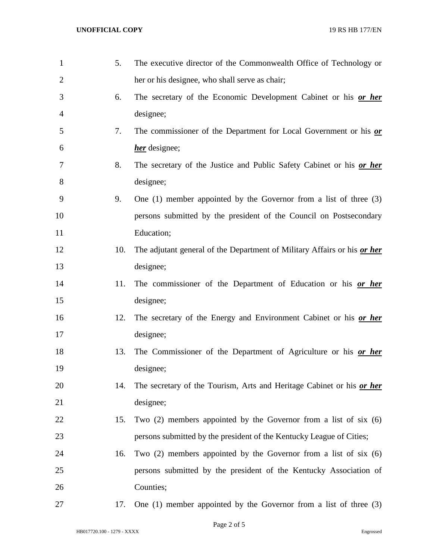| $\mathbf{1}$   | 5.  | The executive director of the Commonwealth Office of Technology or       |
|----------------|-----|--------------------------------------------------------------------------|
| $\overline{2}$ |     | her or his designee, who shall serve as chair;                           |
| 3              | 6.  | The secretary of the Economic Development Cabinet or his or her          |
| 4              |     | designee;                                                                |
| 5              | 7.  | The commissioner of the Department for Local Government or his or        |
| 6              |     | her designee;                                                            |
| 7              | 8.  | The secretary of the Justice and Public Safety Cabinet or his or her     |
| 8              |     | designee;                                                                |
| 9              | 9.  | One $(1)$ member appointed by the Governor from a list of three $(3)$    |
| 10             |     | persons submitted by the president of the Council on Postsecondary       |
| 11             |     | Education;                                                               |
| 12             | 10. | The adjutant general of the Department of Military Affairs or his or her |
| 13             |     | designee;                                                                |
| 14             | 11. | The commissioner of the Department of Education or his or her            |
| 15             |     | designee;                                                                |
| 16             | 12. | The secretary of the Energy and Environment Cabinet or his or her        |
| 17             |     | designee;                                                                |
| 18             | 13. | The Commissioner of the Department of Agriculture or his or her          |
| 19             |     | designee;                                                                |
| 20             | 14. | The secretary of the Tourism, Arts and Heritage Cabinet or his or her    |
| 21             |     | designee;                                                                |
| 22             | 15. | Two $(2)$ members appointed by the Governor from a list of six $(6)$     |
| 23             |     | persons submitted by the president of the Kentucky League of Cities;     |
| 24             | 16. | Two $(2)$ members appointed by the Governor from a list of six $(6)$     |
| 25             |     | persons submitted by the president of the Kentucky Association of        |
| 26             |     | Counties;                                                                |
| 27             | 17. | One $(1)$ member appointed by the Governor from a list of three $(3)$    |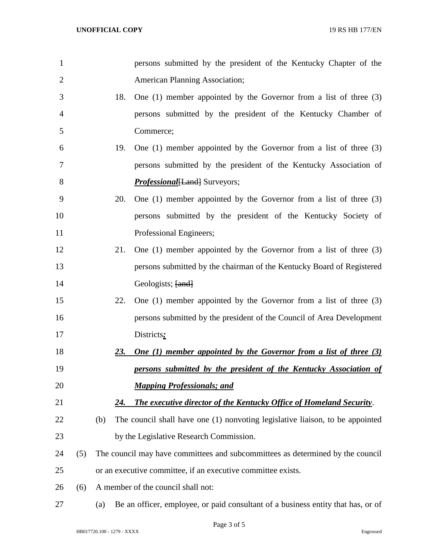| $\mathbf{1}$   |     |                                    | persons submitted by the president of the Kentucky Chapter of the                |
|----------------|-----|------------------------------------|----------------------------------------------------------------------------------|
| $\overline{2}$ |     |                                    | <b>American Planning Association;</b>                                            |
| 3              |     | 18.                                | One $(1)$ member appointed by the Governor from a list of three $(3)$            |
| $\overline{4}$ |     |                                    | persons submitted by the president of the Kentucky Chamber of                    |
| 5              |     |                                    | Commerce;                                                                        |
| 6              |     | 19.                                | One $(1)$ member appointed by the Governor from a list of three $(3)$            |
| 7              |     |                                    | persons submitted by the president of the Kentucky Association of                |
| 8              |     |                                    | <b>Professional</b> [Land] Surveyors;                                            |
| 9              |     | 20.                                | One $(1)$ member appointed by the Governor from a list of three $(3)$            |
| 10             |     |                                    | persons submitted by the president of the Kentucky Society of                    |
| 11             |     |                                    | Professional Engineers;                                                          |
| 12             |     | 21.                                | One $(1)$ member appointed by the Governor from a list of three $(3)$            |
| 13             |     |                                    | persons submitted by the chairman of the Kentucky Board of Registered            |
| 14             |     |                                    | Geologists; [and]                                                                |
| 15             |     | 22.                                | One $(1)$ member appointed by the Governor from a list of three $(3)$            |
| 16             |     |                                    | persons submitted by the president of the Council of Area Development            |
| 17             |     |                                    | Districts:                                                                       |
| 18             |     | <u>23.</u>                         | <b>One (1) member appointed by the Governor from a list of three (3)</b>         |
| 19             |     |                                    | persons submitted by the president of the Kentucky Association of                |
| 20             |     |                                    | <b>Mapping Professionals; and</b>                                                |
| 21             |     | 24.                                | The executive director of the Kentucky Office of Homeland Security.              |
| 22             |     | (b)                                | The council shall have one (1) nonvoting legislative liaison, to be appointed    |
| 23             |     |                                    | by the Legislative Research Commission.                                          |
| 24             | (5) |                                    | The council may have committees and subcommittees as determined by the council   |
| 25             |     |                                    | or an executive committee, if an executive committee exists.                     |
| 26             | (6) | A member of the council shall not: |                                                                                  |
| 27             |     | (a)                                | Be an officer, employee, or paid consultant of a business entity that has, or of |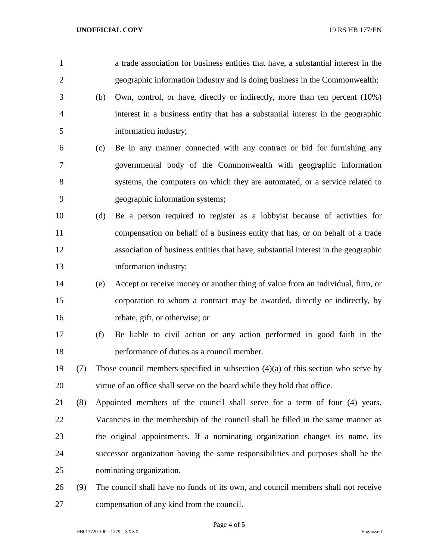| $\mathbf{1}$   |     |     | a trade association for business entities that have, a substantial interest in the  |
|----------------|-----|-----|-------------------------------------------------------------------------------------|
| $\overline{2}$ |     |     | geographic information industry and is doing business in the Commonwealth;          |
| 3              |     | (b) | Own, control, or have, directly or indirectly, more than ten percent (10%)          |
| $\overline{4}$ |     |     | interest in a business entity that has a substantial interest in the geographic     |
| 5              |     |     | information industry;                                                               |
| 6              |     | (c) | Be in any manner connected with any contract or bid for furnishing any              |
| 7              |     |     | governmental body of the Commonwealth with geographic information                   |
| 8              |     |     | systems, the computers on which they are automated, or a service related to         |
| 9              |     |     | geographic information systems;                                                     |
| 10             |     | (d) | Be a person required to register as a lobbyist because of activities for            |
| 11             |     |     | compensation on behalf of a business entity that has, or on behalf of a trade       |
| 12             |     |     | association of business entities that have, substantial interest in the geographic  |
| 13             |     |     | information industry;                                                               |
| 14             |     | (e) | Accept or receive money or another thing of value from an individual, firm, or      |
| 15             |     |     | corporation to whom a contract may be awarded, directly or indirectly, by           |
| 16             |     |     | rebate, gift, or otherwise; or                                                      |
| 17             |     | (f) | Be liable to civil action or any action performed in good faith in the              |
| 18             |     |     | performance of duties as a council member.                                          |
| 19             | (7) |     | Those council members specified in subsection $(4)(a)$ of this section who serve by |
| 20             |     |     | virtue of an office shall serve on the board while they hold that office.           |
| 21             | (8) |     | Appointed members of the council shall serve for a term of four (4) years.          |
| 22             |     |     | Vacancies in the membership of the council shall be filled in the same manner as    |
| 23             |     |     | the original appointments. If a nominating organization changes its name, its       |
| 24             |     |     | successor organization having the same responsibilities and purposes shall be the   |
| 25             |     |     | nominating organization.                                                            |
| 26             | (9) |     | The council shall have no funds of its own, and council members shall not receive   |
| 27             |     |     | compensation of any kind from the council.                                          |

Page 4 of 5